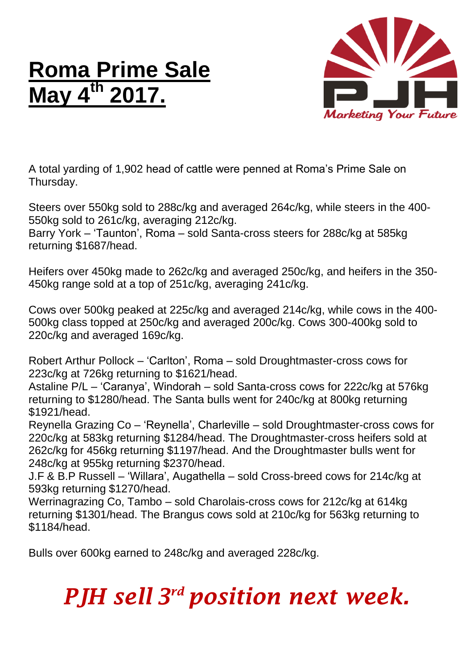## **Roma Prime Sale May 4 th 2017.**



A total yarding of 1,902 head of cattle were penned at Roma's Prime Sale on Thursday.

Steers over 550kg sold to 288c/kg and averaged 264c/kg, while steers in the 400- 550kg sold to 261c/kg, averaging 212c/kg.

Barry York – 'Taunton', Roma – sold Santa-cross steers for 288c/kg at 585kg returning \$1687/head.

Heifers over 450kg made to 262c/kg and averaged 250c/kg, and heifers in the 350- 450kg range sold at a top of 251c/kg, averaging 241c/kg.

Cows over 500kg peaked at 225c/kg and averaged 214c/kg, while cows in the 400- 500kg class topped at 250c/kg and averaged 200c/kg. Cows 300-400kg sold to 220c/kg and averaged 169c/kg.

Robert Arthur Pollock – 'Carlton', Roma – sold Droughtmaster-cross cows for 223c/kg at 726kg returning to \$1621/head.

Astaline P/L – 'Caranya', Windorah – sold Santa-cross cows for 222c/kg at 576kg returning to \$1280/head. The Santa bulls went for 240c/kg at 800kg returning \$1921/head.

Reynella Grazing Co – 'Reynella', Charleville – sold Droughtmaster-cross cows for 220c/kg at 583kg returning \$1284/head. The Droughtmaster-cross heifers sold at 262c/kg for 456kg returning \$1197/head. And the Droughtmaster bulls went for 248c/kg at 955kg returning \$2370/head.

J.F & B.P Russell – 'Willara', Augathella – sold Cross-breed cows for 214c/kg at 593kg returning \$1270/head.

Werrinagrazing Co, Tambo – sold Charolais-cross cows for 212c/kg at 614kg returning \$1301/head. The Brangus cows sold at 210c/kg for 563kg returning to \$1184/head.

Bulls over 600kg earned to 248c/kg and averaged 228c/kg.

## *PJH sell 3 rd position next week.*